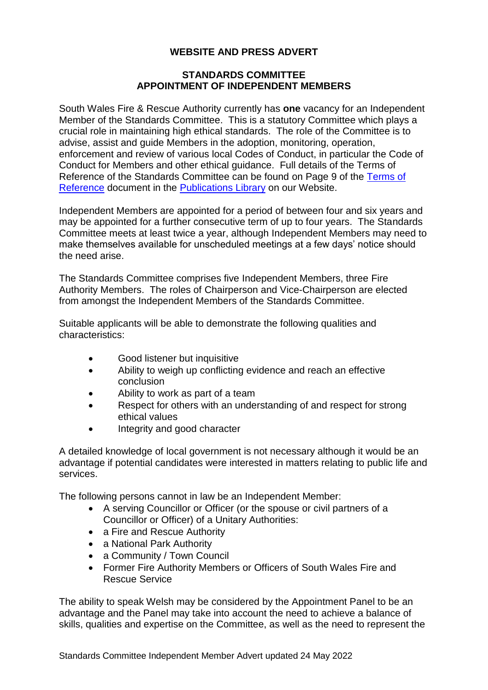## **WEBSITE AND PRESS ADVERT**

## **STANDARDS COMMITTEE APPOINTMENT OF INDEPENDENT MEMBERS**

South Wales Fire & Rescue Authority currently has **one** vacancy for an Independent Member of the Standards Committee. This is a statutory Committee which plays a crucial role in maintaining high ethical standards. The role of the Committee is to advise, assist and guide Members in the adoption, monitoring, operation, enforcement and review of various local Codes of Conduct, in particular the Code of Conduct for Members and other ethical guidance. Full details of the Terms of Reference of the Standards Committee can be found on Page 9 of the [Terms of](https://www.southwales-fire.gov.uk/app/uploads/2020/07/Terms-of-Reference.pdf)  [Reference](https://www.southwales-fire.gov.uk/app/uploads/2020/07/Terms-of-Reference.pdf) document in the [Publications Library](https://www.southwales-fire.gov.uk/publication/) on our Website.

Independent Members are appointed for a period of between four and six years and may be appointed for a further consecutive term of up to four years. The Standards Committee meets at least twice a year, although Independent Members may need to make themselves available for unscheduled meetings at a few days' notice should the need arise.

The Standards Committee comprises five Independent Members, three Fire Authority Members. The roles of Chairperson and Vice-Chairperson are elected from amongst the Independent Members of the Standards Committee.

Suitable applicants will be able to demonstrate the following qualities and characteristics:

- Good listener but inquisitive
- Ability to weigh up conflicting evidence and reach an effective conclusion
- Ability to work as part of a team
- Respect for others with an understanding of and respect for strong ethical values
- Integrity and good character

A detailed knowledge of local government is not necessary although it would be an advantage if potential candidates were interested in matters relating to public life and services.

The following persons cannot in law be an Independent Member:

- A serving Councillor or Officer (or the spouse or civil partners of a Councillor or Officer) of a Unitary Authorities:
- a Fire and Rescue Authority
- a National Park Authority
- a Community / Town Council
- Former Fire Authority Members or Officers of South Wales Fire and Rescue Service

The ability to speak Welsh may be considered by the Appointment Panel to be an advantage and the Panel may take into account the need to achieve a balance of skills, qualities and expertise on the Committee, as well as the need to represent the